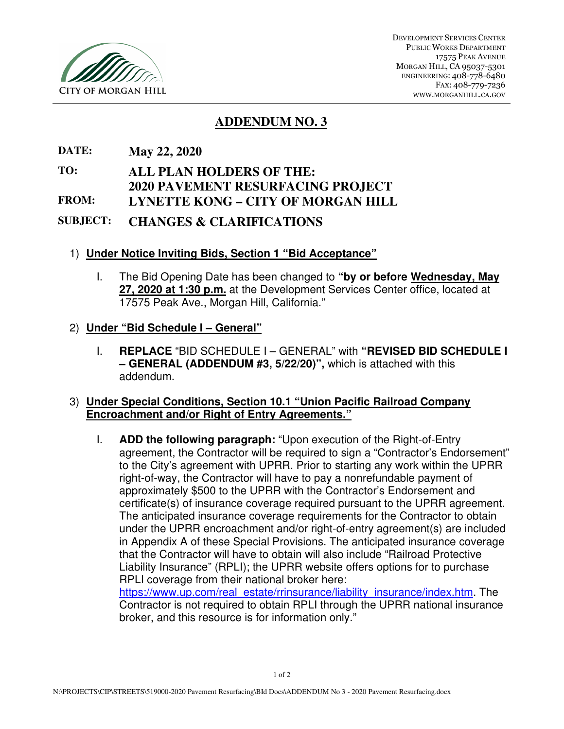

# **ADDENDUM NO. 3**

**DATE: May 22, 2020** 

**TO: ALL PLAN HOLDERS OF THE: 2020 PAVEMENT RESURFACING PROJECT**

# **FROM: LYNETTE KONG – CITY OF MORGAN HILL**

# **SUBJECT: CHANGES & CLARIFICATIONS**

### 1) **Under Notice Inviting Bids, Section 1 "Bid Acceptance"**

I. The Bid Opening Date has been changed to **"by or before Wednesday, May 27, 2020 at 1:30 p.m.** at the Development Services Center office, located at 17575 Peak Ave., Morgan Hill, California."

#### 2) **Under "Bid Schedule I – General"**

I. **REPLACE** "BID SCHEDULE I – GENERAL" with **"REVISED BID SCHEDULE I – GENERAL (ADDENDUM #3, 5/22/20)",** which is attached with this addendum.

#### 3) **Under Special Conditions, Section 10.1 "Union Pacific Railroad Company Encroachment and/or Right of Entry Agreements."**

I. **ADD the following paragraph:** "Upon execution of the Right-of-Entry agreement, the Contractor will be required to sign a "Contractor's Endorsement" to the City's agreement with UPRR. Prior to starting any work within the UPRR right-of-way, the Contractor will have to pay a nonrefundable payment of approximately \$500 to the UPRR with the Contractor's Endorsement and certificate(s) of insurance coverage required pursuant to the UPRR agreement. The anticipated insurance coverage requirements for the Contractor to obtain under the UPRR encroachment and/or right-of-entry agreement(s) are included in Appendix A of these Special Provisions. The anticipated insurance coverage that the Contractor will have to obtain will also include "Railroad Protective Liability Insurance" (RPLI); the UPRR website offers options for to purchase RPLI coverage from their national broker here: https://www.up.com/real\_estate/rrinsurance/liability\_insurance/index.htm. The

Contractor is not required to obtain RPLI through the UPRR national insurance broker, and this resource is for information only."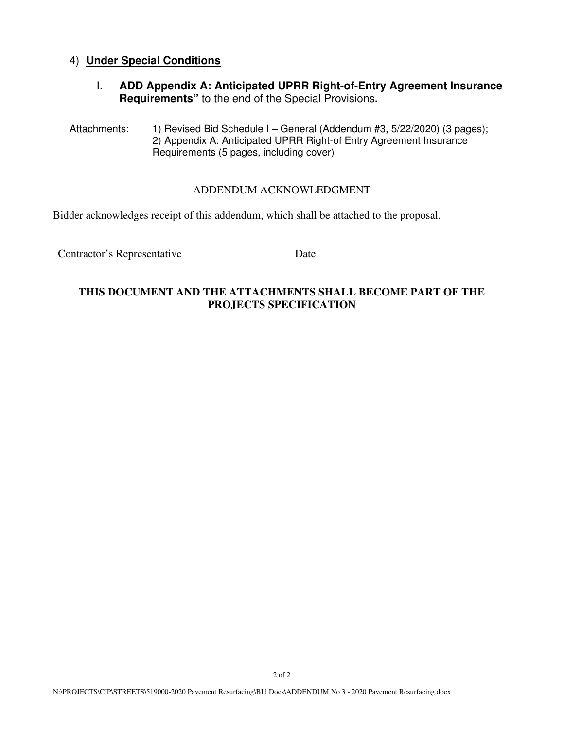#### 4) **Under Special Conditions**

I. **ADD Appendix A: Anticipated UPRR Right-of-Entry Agreement Insurance Requirements"** to the end of the Special Provisions**.** 

Attachments: 1) Revised Bid Schedule I – General (Addendum #3, 5/22/2020) (3 pages); 2) Appendix A: Anticipated UPRR Right-of Entry Agreement Insurance Requirements (5 pages, including cover)

#### ADDENDUM ACKNOWLEDGMENT

Bidder acknowledges receipt of this addendum, which shall be attached to the proposal.

Contractor's Representative Date

#### **THIS DOCUMENT AND THE ATTACHMENTS SHALL BECOME PART OF THE PROJECTS SPECIFICATION**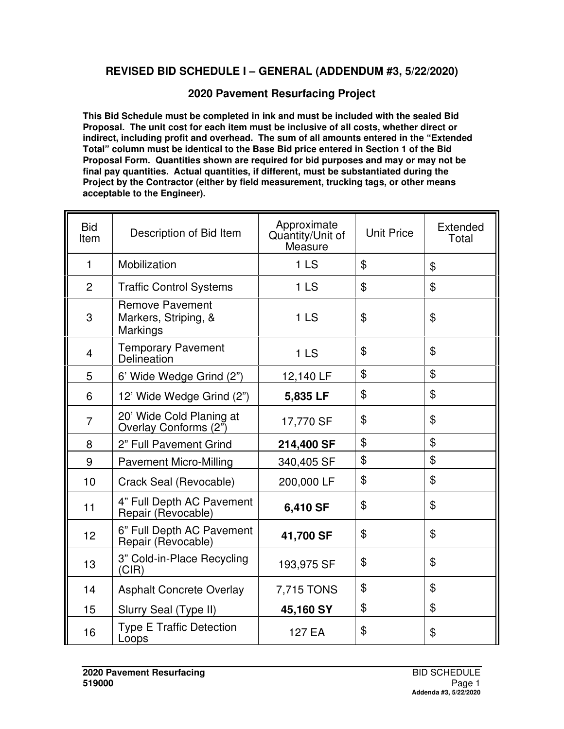## **REVISED BID SCHEDULE I – GENERAL (ADDENDUM #3, 5/22/2020)**

## **2020 Pavement Resurfacing Project**

**This Bid Schedule must be completed in ink and must be included with the sealed Bid Proposal. The unit cost for each item must be inclusive of all costs, whether direct or indirect, including profit and overhead. The sum of all amounts entered in the "Extended Total" column must be identical to the Base Bid price entered in Section 1 of the Bid Proposal Form. Quantities shown are required for bid purposes and may or may not be final pay quantities. Actual quantities, if different, must be substantiated during the Project by the Contractor (either by field measurement, trucking tags, or other means acceptable to the Engineer).** 

| <b>Bid</b><br>Item | Description of Bid Item                                    | Approximate<br>Quantity/Unit of<br>Measure | <b>Unit Price</b> | Extended<br>Total |
|--------------------|------------------------------------------------------------|--------------------------------------------|-------------------|-------------------|
| 1                  | Mobilization                                               | 1 <sub>LS</sub>                            | \$                | \$                |
| $\overline{2}$     | <b>Traffic Control Systems</b>                             | 1 <sub>LS</sub>                            | \$                | \$                |
| 3                  | <b>Remove Pavement</b><br>Markers, Striping, &<br>Markings | 1 <sub>LS</sub>                            | \$                | \$                |
| $\overline{4}$     | <b>Temporary Pavement</b><br>Delineation                   | 1 <sub>LS</sub>                            | \$                | \$                |
| 5                  | 6' Wide Wedge Grind (2")                                   | 12,140 LF                                  | \$                | \$                |
| 6                  | 12' Wide Wedge Grind (2")                                  | 5,835 LF                                   | \$                | \$                |
| $\overline{7}$     | 20' Wide Cold Planing at<br>Overlay Conforms (2")          | 17,770 SF                                  | \$                | $\mathfrak{P}$    |
| 8                  | 2" Full Pavement Grind                                     | 214,400 SF                                 | \$                | \$                |
| 9                  | <b>Pavement Micro-Milling</b>                              | 340,405 SF                                 | \$                | \$                |
| 10                 | Crack Seal (Revocable)                                     | 200,000 LF                                 | \$                | \$                |
| 11                 | 4" Full Depth AC Pavement<br>Repair (Revocable)            | 6,410 SF                                   | \$                | \$                |
| 12                 | 6" Full Depth AC Pavement<br>Repair (Revocable)            | 41,700 SF                                  | \$                | \$                |
| 13                 | 3" Cold-in-Place Recycling<br>(CIR)                        | 193,975 SF                                 | \$                | \$                |
| 14                 | <b>Asphalt Concrete Overlay</b>                            | 7,715 TONS                                 | \$                | \$                |
| 15                 | Slurry Seal (Type II)                                      | 45,160 SY                                  | \$                | \$                |
| 16                 | <b>Type E Traffic Detection</b><br>Loops                   | 127 EA                                     | \$                | \$                |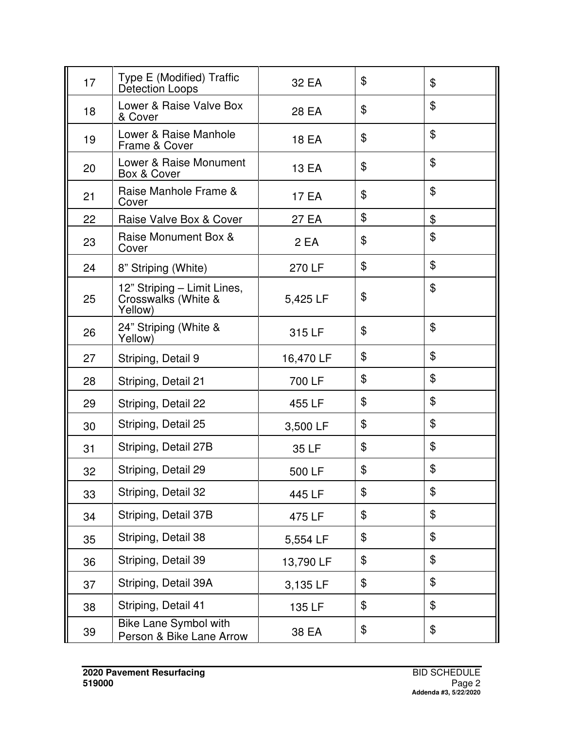| 17 | Type E (Modified) Traffic<br>Detection Loops                  | 32 EA     | \$<br>\$ |
|----|---------------------------------------------------------------|-----------|----------|
| 18 | Lower & Raise Valve Box<br>& Cover                            | 28 EA     | \$<br>\$ |
| 19 | Lower & Raise Manhole<br>Frame & Cover                        | 18 EA     | \$<br>\$ |
| 20 | Lower & Raise Monument<br>Box & Cover                         | 13 EA     | \$<br>\$ |
| 21 | Raise Manhole Frame &<br>Cover                                | 17 EA     | \$<br>\$ |
| 22 | Raise Valve Box & Cover                                       | 27 EA     | \$<br>\$ |
| 23 | Raise Monument Box &<br>Cover                                 | 2 EA      | \$<br>\$ |
| 24 | 8" Striping (White)                                           | 270 LF    | \$<br>\$ |
| 25 | 12" Striping - Limit Lines,<br>Crosswalks (White &<br>Yellow) | 5,425 LF  | \$<br>\$ |
| 26 | 24" Striping (White &<br>Yellow)                              | 315 LF    | \$<br>\$ |
| 27 | Striping, Detail 9                                            | 16,470 LF | \$<br>\$ |
| 28 | Striping, Detail 21                                           | 700 LF    | \$<br>\$ |
| 29 | Striping, Detail 22                                           | 455 LF    | \$<br>\$ |
| 30 | Striping, Detail 25                                           | 3,500 LF  | \$<br>\$ |
| 31 | Striping, Detail 27B                                          | 35 LF     | \$<br>\$ |
| 32 | Striping, Detail 29                                           | 500 LF    | \$<br>\$ |
| 33 | Striping, Detail 32                                           | 445 LF    | \$<br>\$ |
| 34 | Striping, Detail 37B                                          | 475 LF    | \$<br>\$ |
| 35 | Striping, Detail 38                                           | 5,554 LF  | \$<br>\$ |
| 36 | Striping, Detail 39                                           | 13,790 LF | \$<br>\$ |
| 37 | Striping, Detail 39A                                          | 3,135 LF  | \$<br>\$ |
| 38 | Striping, Detail 41                                           | 135 LF    | \$<br>\$ |
| 39 | Bike Lane Symbol with<br>Person & Bike Lane Arrow             | 38 EA     | \$<br>\$ |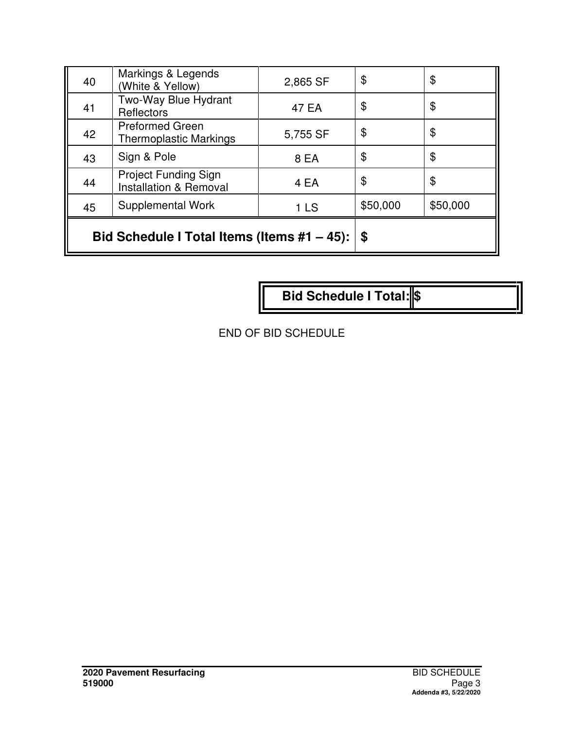| 40 | Markings & Legends<br>(White & Yellow)                           | 2,865 SF | \$       | \$       |
|----|------------------------------------------------------------------|----------|----------|----------|
| 41 | Two-Way Blue Hydrant<br><b>Reflectors</b>                        | 47 EA    | \$       | \$       |
| 42 | <b>Preformed Green</b><br><b>Thermoplastic Markings</b>          | 5,755 SF | \$       | \$       |
| 43 | Sign & Pole                                                      | 8 EA     | \$       | \$       |
| 44 | <b>Project Funding Sign</b><br><b>Installation &amp; Removal</b> | 4 EA     | \$       | \$       |
| 45 | <b>Supplemental Work</b>                                         | 1LS      | \$50,000 | \$50,000 |
|    | Bid Schedule I Total Items (Items #1 – 45):                      |          |          |          |

**Bid Schedule I Total:** \$

END OF BID SCHEDULE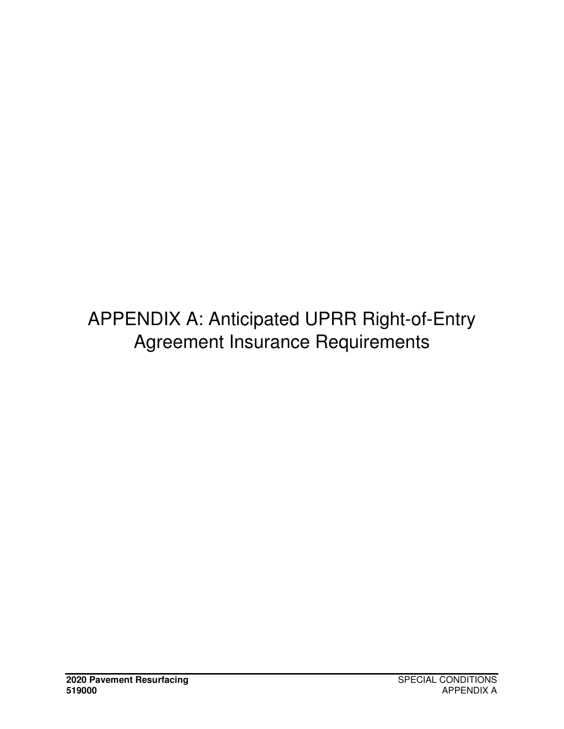APPENDIX A: Anticipated UPRR Right-of-Entry Agreement Insurance Requirements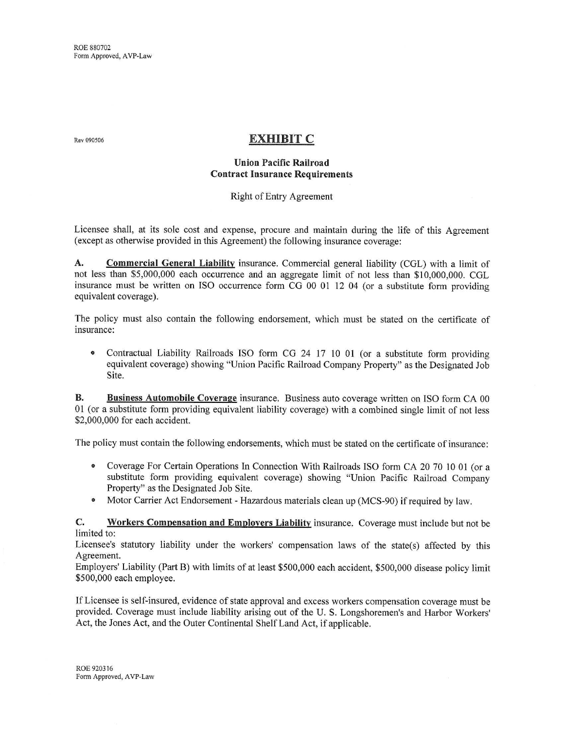**ROE 880702** Form Approved, AVP-Law

Rev 090506

#### **EXHIBIT C**

#### **Union Pacific Railroad Contract Insurance Requirements**

#### **Right of Entry Agreement**

Licensee shall, at its sole cost and expense, procure and maintain during the life of this Agreement (except as otherwise provided in this Agreement) the following insurance coverage:

A. **Commercial General Liability** insurance. Commercial general liability (CGL) with a limit of not less than \$5,000,000 each occurrence and an aggregate limit of not less than \$10,000,000. CGL insurance must be written on ISO occurrence form CG 00 01 12 04 (or a substitute form providing equivalent coverage).

The policy must also contain the following endorsement, which must be stated on the certificate of insurance:

Contractual Liability Railroads ISO form CG 24 17 10 01 (or a substitute form providing  $\bullet$ equivalent coverage) showing "Union Pacific Railroad Company Property" as the Designated Job Site.

**B.** Business Automobile Coverage insurance. Business auto coverage written on ISO form CA 00 01 (or a substitute form providing equivalent liability coverage) with a combined single limit of not less \$2,000,000 for each accident.

The policy must contain the following endorsements, which must be stated on the certificate of insurance:

- Coverage For Certain Operations In Connection With Railroads ISO form CA 20 70 10 01 (or a  $\bullet$ substitute form providing equivalent coverage) showing "Union Pacific Railroad Company Property" as the Designated Job Site.
- $\bullet$ Motor Carrier Act Endorsement - Hazardous materials clean up (MCS-90) if required by law.

C. Workers Compensation and Employers Liability insurance. Coverage must include but not be limited to:

Licensee's statutory liability under the workers' compensation laws of the state(s) affected by this Agreement.

Employers' Liability (Part B) with limits of at least \$500,000 each accident, \$500,000 disease policy limit \$500,000 each employee.

If Licensee is self-insured, evidence of state approval and excess workers compensation coverage must be provided. Coverage must include liability arising out of the U.S. Longshoremen's and Harbor Workers' Act, the Jones Act, and the Outer Continental Shelf Land Act, if applicable.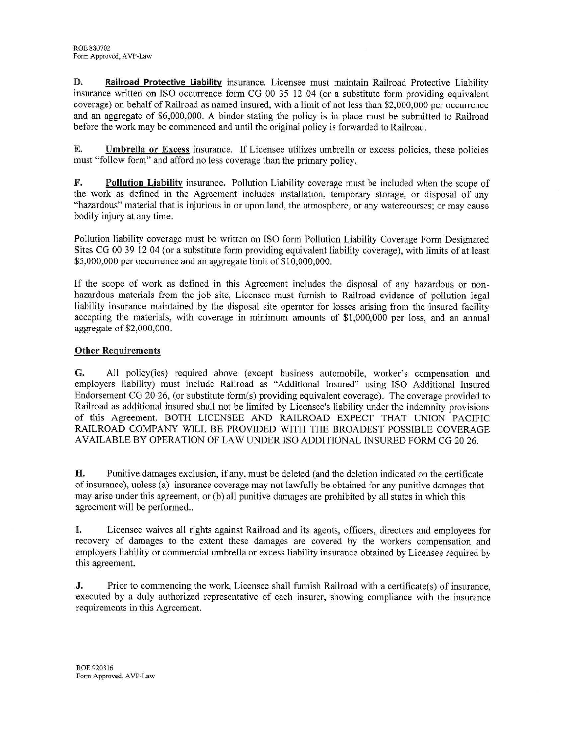D. Railroad Protective Liability insurance. Licensee must maintain Railroad Protective Liability insurance written on ISO occurrence form CG 00 35 12 04 (or a substitute form providing equivalent coverage) on behalf of Railroad as named insured, with a limit of not less than \$2,000,000 per occurrence and an aggregate of \$6,000,000. A binder stating the policy is in place must be submitted to Railroad before the work may be commenced and until the original policy is forwarded to Railroad.

E. **Umbrella or Excess** insurance. If Licensee utilizes umbrella or excess policies, these policies must "follow form" and afford no less coverage than the primary policy.

F. Pollution Liability insurance. Pollution Liability coverage must be included when the scope of the work as defined in the Agreement includes installation, temporary storage, or disposal of any "hazardous" material that is injurious in or upon land, the atmosphere, or any watercourses; or may cause bodily injury at any time.

Pollution liability coverage must be written on ISO form Pollution Liability Coverage Form Designated Sites CG 00 39 12 04 (or a substitute form providing equivalent liability coverage), with limits of at least \$5,000,000 per occurrence and an aggregate limit of \$10,000,000.

If the scope of work as defined in this Agreement includes the disposal of any hazardous or nonhazardous materials from the job site, Licensee must furnish to Railroad evidence of pollution legal liability insurance maintained by the disposal site operator for losses arising from the insured facility accepting the materials, with coverage in minimum amounts of \$1,000,000 per loss, and an annual aggregate of \$2,000,000.

#### **Other Requirements**

G. All policy(ies) required above (except business automobile, worker's compensation and employers liability) must include Railroad as "Additional Insured" using ISO Additional Insured Endorsement CG 20 26, (or substitute form(s) providing equivalent coverage). The coverage provided to Railroad as additional insured shall not be limited by Licensee's liability under the indemnity provisions of this Agreement. BOTH LICENSEE AND RAILROAD EXPECT THAT UNION PACIFIC RAILROAD COMPANY WILL BE PROVIDED WITH THE BROADEST POSSIBLE COVERAGE AVAILABLE BY OPERATION OF LAW UNDER ISO ADDITIONAL INSURED FORM CG 20 26.

H. Punitive damages exclusion, if any, must be deleted (and the deletion indicated on the certificate of insurance), unless (a) insurance coverage may not lawfully be obtained for any punitive damages that may arise under this agreement, or (b) all punitive damages are prohibited by all states in which this agreement will be performed..

I. Licensee waives all rights against Railroad and its agents, officers, directors and employees for recovery of damages to the extent these damages are covered by the workers compensation and employers liability or commercial umbrella or excess liability insurance obtained by Licensee required by this agreement.

J. Prior to commencing the work, Licensee shall furnish Railroad with a certificate(s) of insurance, executed by a duly authorized representative of each insurer, showing compliance with the insurance requirements in this Agreement.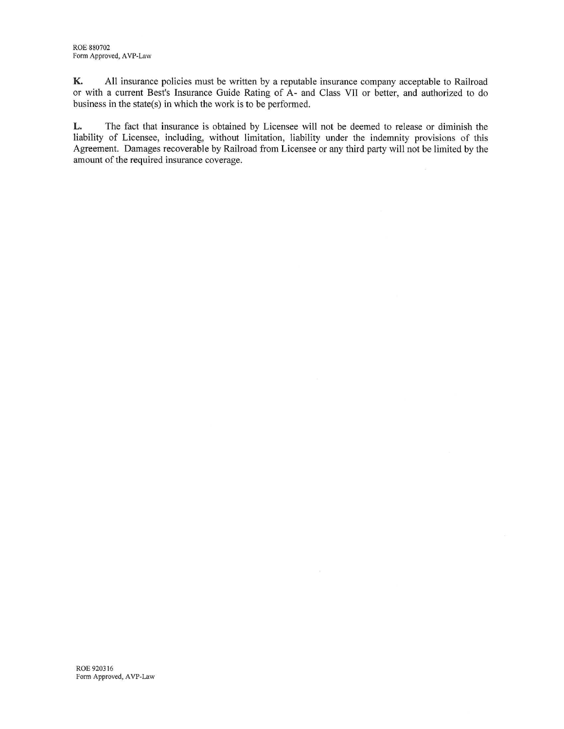K. All insurance policies must be written by a reputable insurance company acceptable to Railroad or with a current Best's Insurance Guide Rating of A- and Class VII or better, and authorized to do business in the state(s) in which the work is to be performed.

L. The fact that insurance is obtained by Licensee will not be deemed to release or diminish the liability of Licensee, including, without limitation, liability under the indemnity provisions of this Agreement. Damages recoverable by Railroad from Licensee or any third party will not be limited by the amount of the required insurance coverage.